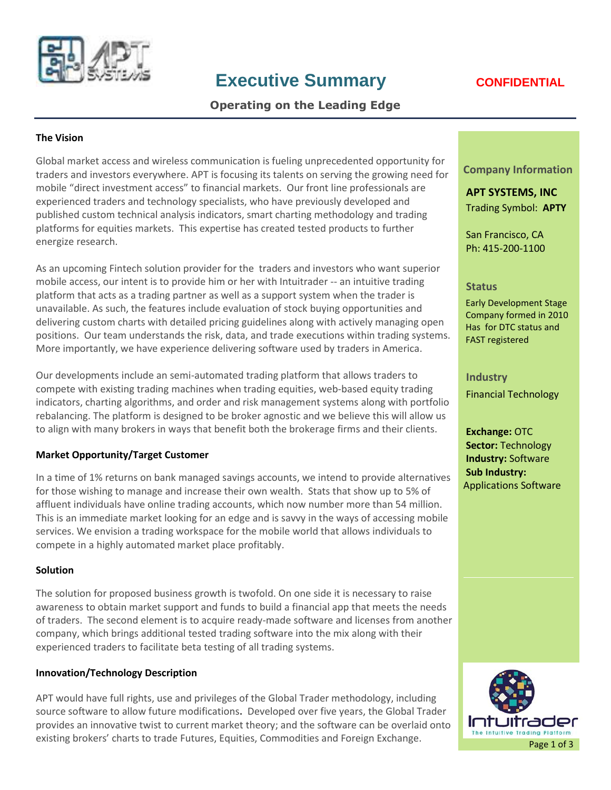

# **Executive Summary <b>CONFIDENTIAL**

# **Operating on the Leading Edge**

#### **The Vision**

Global market access and wireless communication is fueling unprecedented opportunity for traders and investors everywhere. APT is focusing its talents on serving the growing need for mobile "direct investment access" to financial markets. Our front line professionals are experienced traders and technology specialists, who have previously developed and published custom technical analysis indicators, smart charting methodology and trading platforms for equities markets. This expertise has created tested products to further energize research.

As an upcoming Fintech solution provider for the traders and investors who want superior mobile access, our intent is to provide him or her with Intuitrader -- an intuitive trading platform that acts as a trading partner as well as a support system when the trader is unavailable. As such, the features include evaluation of stock buying opportunities and delivering custom charts with detailed pricing guidelines along with actively managing open positions. Our team understands the risk, data, and trade executions within trading systems. More importantly, we have experience delivering software used by traders in America.

Our developments include an semi-automated trading platform that allows traders to compete with existing trading machines when trading equities, web-based equity trading indicators, charting algorithms, and order and risk management systems along with portfolio rebalancing. The platform is designed to be broker agnostic and we believe this will allow us to align with many brokers in ways that benefit both the brokerage firms and their clients.

#### **Market Opportunity/Target Customer**

In a time of 1% returns on bank managed savings accounts, we intend to provide alternatives for those wishing to manage and increase their own wealth. Stats that show up to 5% of affluent individuals have online trading accounts, which now number more than 54 million. This is an immediate market looking for an edge and is savvy in the ways of accessing mobile services. We envision a trading workspace for the mobile world that allows individuals to compete in a highly automated market place profitably.

#### **Solution**

The solution for proposed business growth is twofold. On one side it is necessary to raise awareness to obtain market support and funds to build a financial app that meets the needs of traders. The second element is to acquire ready-made software and licenses from another company, which brings additional tested trading software into the mix along with their experienced traders to facilitate beta testing of all trading systems.

#### **Innovation/Technology Description**

APT would have full rights, use and privileges of the Global Trader methodology, including source software to allow future modifications**.** Developed over five years, the Global Trader provides an innovative twist to current market theory; and the software can be overlaid onto existing brokers' charts to trade Futures, Equities, Commodities and Foreign Exchange.

**Company Information**

**APT SYSTEMS, INC** Trading Symbol: **APTY**

San Francisco, CA Ph: 415-200-1100

#### **Status**

Early Development Stage Company formed in 2010 Has for DTC status and FAST registered

**Industry** Financial Technology

**Exchange:** OTC **Sector:** Technology **Industry:** Software **Sub Industry:** Applications Software

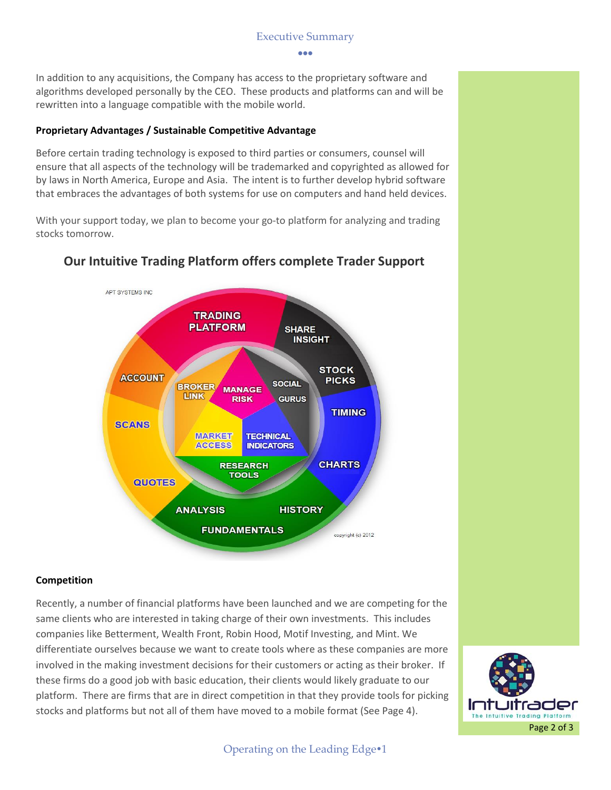#### Executive Summary

...

In addition to any acquisitions, the Company has access to the proprietary software and algorithms developed personally by the CEO. These products and platforms can and will be rewritten into a language compatible with the mobile world.

#### **Proprietary Advantages / Sustainable Competitive Advantage**

Before certain trading technology is exposed to third parties or consumers, counsel will ensure that all aspects of the technology will be trademarked and copyrighted as allowed for by laws in North America, Europe and Asia. The intent is to further develop hybrid software that embraces the advantages of both systems for use on computers and hand held devices.

With your support today, we plan to become your go-to platform for analyzing and trading stocks tomorrow.



# **Our Intuitive Trading Platform offers complete Trader Support**

#### **Competition**

Recently, a number of financial platforms have been launched and we are competing for the same clients who are interested in taking charge of their own investments. This includes companies like Betterment, Wealth Front, Robin Hood, Motif Investing, and Mint. We differentiate ourselves because we want to create tools where as these companies are more involved in the making investment decisions for their customers or acting as their broker. If these firms do a good job with basic education, their clients would likely graduate to our platform. There are firms that are in direct competition in that they provide tools for picking stocks and platforms but not all of them have moved to a mobile format (See Page 4).



Operating on the Leading Edge<sup>•1</sup>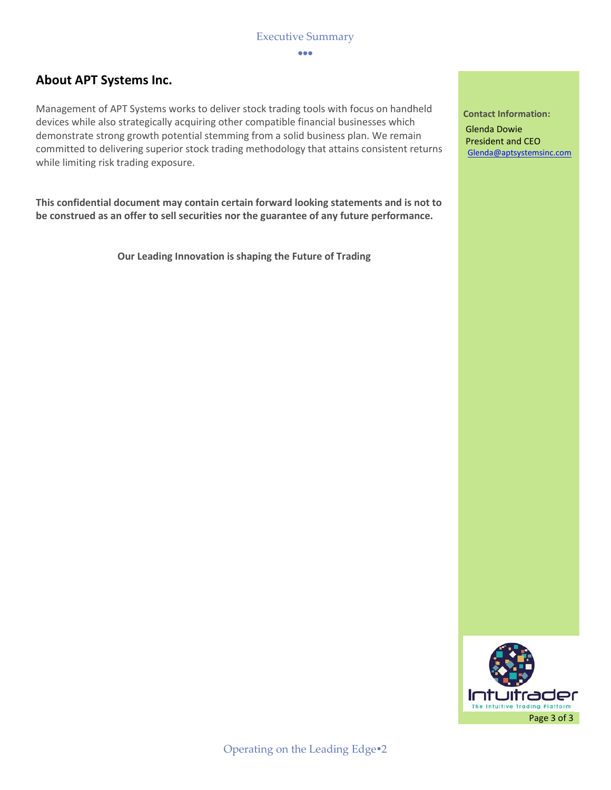---

# **About APT Systems Inc.**

Management of APT Systems works to deliver stock trading tools with focus on handheld devices while also strategically acquiring other compatible financial businesses which demonstrate strong growth potential stemming from a solid business plan. We remain committed to delivering superior stock trading methodology that attains consistent returns while limiting risk trading exposure.

**This confidential document may contain certain forward looking statements and is not to be construed as an offer to sell securities nor the guarantee of any future performance.**

**Our Leading Innovation is shaping the Future of Trading**

**Contact Information:** Glenda Dowie President and CEO [Glenda@aptsystemsinc.com](mailto:Glenda@aptsystemsinc.com)

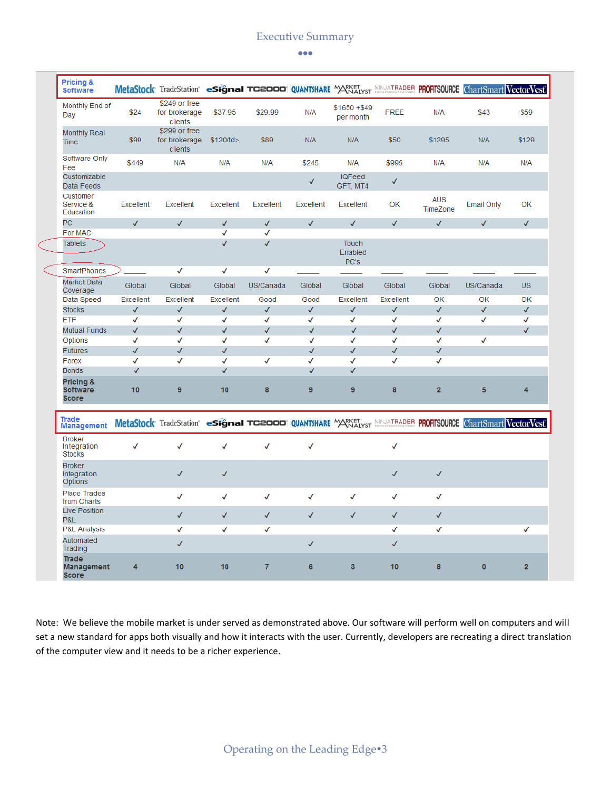# Executive Summary

#### $\bullet\bullet\bullet$

|  | <b>Pricing &amp;</b><br><b>Software</b>       |                  | MetaStock TradeStation esignal TC2000 QUANTSHARE MARKET NINJATRADER PROFITSOURCE ChartSmart VectorVest |                  |                  |                  |                                 |                  |                        |                   |                |
|--|-----------------------------------------------|------------------|--------------------------------------------------------------------------------------------------------|------------------|------------------|------------------|---------------------------------|------------------|------------------------|-------------------|----------------|
|  | Monthly End of<br>Day                         | \$24             | \$249 or free<br>for brokerage<br>clients                                                              | \$37.95          | \$29.99          | N/A              | $$1650 + $49$<br>per month      | <b>FREE</b>      | N/A                    | \$43              | \$59           |
|  | <b>Monthly Real</b><br>Time                   | \$99             | \$299 or free<br>for brokerage<br>clients                                                              | \$120/td>        | \$89             | N/A              | N/A                             | \$50             | \$1295                 | N/A               | \$129          |
|  | Software Only<br>Fee                          | \$449            | N/A                                                                                                    | N/A              | N/A              | \$245            | N/A                             | \$995            | N/A                    | N/A               | N/A            |
|  | Customizable<br>Data Feeds                    |                  |                                                                                                        |                  |                  | $\checkmark$     | IQFeed.<br>GFT, MT4             | √                |                        |                   |                |
|  | Customer<br>Service &<br>Education            | <b>Excellent</b> | <b>Excellent</b>                                                                                       | <b>Excellent</b> | <b>Excellent</b> | <b>Excellent</b> | <b>Excellent</b>                | ОК               | <b>AUS</b><br>TimeZone | <b>Email Only</b> | ОК             |
|  | PC                                            | $\checkmark$     | $\checkmark$                                                                                           | $\checkmark$     | √                | $\checkmark$     | $\checkmark$                    | $\checkmark$     | $\checkmark$           | $\checkmark$      | $\checkmark$   |
|  | For MAC                                       |                  |                                                                                                        | √                | √                |                  |                                 |                  |                        |                   |                |
|  | <b>Tablets</b>                                |                  |                                                                                                        | $\checkmark$     | √                |                  | <b>Touch</b><br>Enabled<br>PC's |                  |                        |                   |                |
|  | <b>SmartPhones</b>                            |                  | √                                                                                                      | √                | √                |                  |                                 |                  |                        |                   |                |
|  | Market Data<br>Coverage                       | Global           | Global                                                                                                 | Global           | US/Canada        | Global           | Global                          | Global           | Global                 | US/Canada         | <b>US</b>      |
|  | Data Speed                                    | <b>Excellent</b> | <b>Excellent</b>                                                                                       | <b>Excellent</b> | Good             | Good             | <b>Excellent</b>                | <b>Excellent</b> | OK                     | OK                | ОК             |
|  | <b>Stocks</b>                                 | √                | √                                                                                                      | √                | √                | √                | √                               | √                | √                      | $\checkmark$      | $\checkmark$   |
|  | <b>ETF</b>                                    | √                | √                                                                                                      | √                | √                | √                | √                               | √                | √                      | √                 | √              |
|  | <b>Mutual Funds</b>                           | √                | √                                                                                                      | √                | √                | $\checkmark$     | √                               | $\checkmark$     | √                      |                   | $\checkmark$   |
|  | Options                                       | √                | √                                                                                                      | √                | √                | √                | √                               | √                | √                      | √                 |                |
|  | <b>Futures</b>                                | √                | $\checkmark$                                                                                           | $\checkmark$     |                  | $\checkmark$     | $\checkmark$                    | $\checkmark$     | $\checkmark$           |                   |                |
|  | Forex                                         | √                | √                                                                                                      | √                | √                | √                | √                               | √                | √                      |                   |                |
|  | <b>Bonds</b>                                  | $\checkmark$     |                                                                                                        | √                |                  | $\checkmark$     | $\checkmark$                    |                  |                        |                   |                |
|  | Pricing &<br><b>Software</b><br><b>Score</b>  | 10               | 9                                                                                                      | 10               | 8                | 9                | 9                               | 8                | $\overline{2}$         | 5                 | 4              |
|  | Trade<br><b>Management</b>                    |                  | MetaStock TradeStation esignal TC2000 QUANTSHARE MARKET NINJATRADER PROFITSOURCE ChartSmart VectorVest |                  |                  |                  |                                 |                  |                        |                   |                |
|  | <b>Broker</b><br>Integration<br><b>Stocks</b> | √                | √                                                                                                      | √                | √                | √                |                                 | $\checkmark$     |                        |                   |                |
|  | <b>Broker</b><br>Integration<br>Options       |                  | $\checkmark$                                                                                           | $\checkmark$     |                  |                  |                                 | $\checkmark$     | $\checkmark$           |                   |                |
|  | <b>Place Trades</b><br>from Charts            |                  | ✓                                                                                                      | √                | √                | √                | √                               | √                | √                      |                   |                |
|  | <b>Live Position</b><br>P&L                   |                  | ✓                                                                                                      | $\checkmark$     | $\checkmark$     | $\checkmark$     | $\checkmark$                    | $\checkmark$     | $\checkmark$           |                   |                |
|  | P&L Analysis                                  |                  | √                                                                                                      | √                | √                |                  |                                 | √                | √                      |                   | √              |
|  | Automated<br>Trading                          |                  | √                                                                                                      |                  |                  | $\checkmark$     |                                 | √                |                        |                   |                |
|  | Trade<br><b>Management</b><br>Coord           | 4                | 10                                                                                                     | 10               | 7                | 6                | 3                               | 10               | 8                      | $\bullet$         | $\overline{2}$ |

Note: We believe the mobile market is under served as demonstrated above. Our software will perform well on computers and will set a new standard for apps both visually and how it interacts with the user. Currently, developers are recreating a direct translation of the computer view and it needs to be a richer experience.